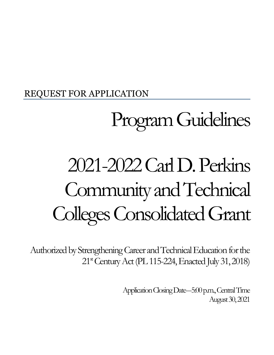## REQUEST FOR APPLICATION

# Program Guidelines

# 2021-2022 Carl D. Perkins Community and Technical Colleges Consolidated Grant

Authorized by Strengthening Career and Technical Education for the  $21<sup>st</sup>$  Century Act (PL 115-224, Enacted July 31, 2018)

> Application Closing Date-5:00 p.m., Central Time August 30, 2021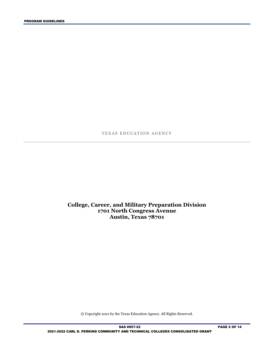TEXAS EDUCATION AGENCY

#### **College, Career, and Military Preparation Division 1701 North Congress Avenue Austin, Texas 78701**

© Copyright 2021 by the Texas Education Agency. All Rights Reserved.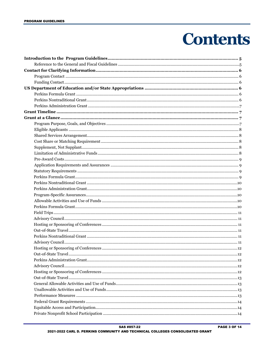## **Contents**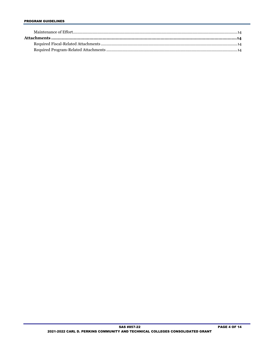#### **PROGRAM GUIDELINES**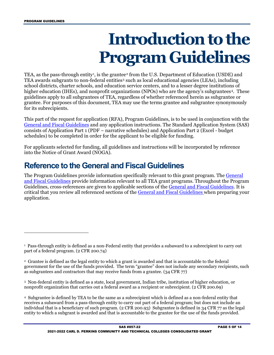## **Introduction to the Program Guidelines**

<span id="page-4-0"></span>TEA, as the pass-through entity<sup>[1](#page-4-2)</sup>, is the grantee<sup>[2](#page-4-3)</sup> from the U.S. Department of Education (USDE) and TEA awards subgrants to non-federal entities[3](#page-4-4) such as local educational agencies (LEAs), including school districts, charter schools, and education service centers, and to a lesser degree institutions of higher education (IHEs), and nonprofit organizations (NPOs) who are the agency's subgrantees<sup>4</sup>. These guidelines apply to all subgrantees of TEA, regardless of whether referenced herein as subgrantee or grantee. For purposes of this document, TEA may use the terms grantee and subgrantee synonymously for its subrecipients.

This part of the request for application (RFA), Program Guidelines, is to be used in conjunction with the [General and Fiscal Guidelines](http://tea.texas.gov/WorkArea/linkit.aspx?LinkIdentifier=id&ItemID=25769819073) and any application instructions. The Standard Application System (SAS) consists of Application Part 1 (PDF – narrative schedules) and Application Part 2 (Excel - budget schedules) to be completed in order for the applicant to be eligible for funding.

For applicants selected for funding, all guidelines and instructions will be incorporated by reference into the Notice of Grant Award (NOGA).

## <span id="page-4-1"></span>**Reference to the General and Fiscal Guidelines**

The Program Guidelines provide information specifically relevant to this grant program. The [General](http://tea.texas.gov/WorkArea/linkit.aspx?LinkIdentifier=id&ItemID=25769819073)  [and Fiscal Guidelines](http://tea.texas.gov/WorkArea/linkit.aspx?LinkIdentifier=id&ItemID=25769819073) provide information relevant to all TEA grant programs. Throughout the Program Guidelines, cross-references are given to applicable sections of the [General and Fiscal Guidelines.](http://tea.texas.gov/WorkArea/linkit.aspx?LinkIdentifier=id&ItemID=25769819073) It is critical that you review all referenced sections of the [General and Fiscal Guidelines](http://tea.texas.gov/WorkArea/linkit.aspx?LinkIdentifier=id&ItemID=25769819073) when preparing your application.

<span id="page-4-4"></span>3 Non-federal entity is defined as a state, local government, Indian tribe, institution of higher education, or nonprofit organization that carries out a federal award as a recipient or subrecipient. (2 CFR 200.69)

<span id="page-4-5"></span>4 Subgrantee is defined by TEA to be the same as a subrecipient which is defined as a non-federal entity that receives a subaward from a pass-through entity to carry out part of a federal program; but does not include an individual that is a beneficiary of such program. (2 CFR 200.93) Subgrantee is defined in 34 CFR 77 as the legal entity to which a subgrant is awarded and that is accountable to the grantee for the use of the funds provided.

<span id="page-4-2"></span><sup>1</sup> Pass-through entity is defined as a non-Federal entity that provides a subaward to a subrecipient to carry out part of a federal program. (2 CFR 200.74)

<span id="page-4-3"></span><sup>2</sup> Grantee is defined as the legal entity to which a grant is awarded and that is accountable to the federal government for the use of the funds provided. The term "grantee" does not include any secondary recipients, such as subgrantees and contractors that may receive funds from a grantee. (34 CFR 77)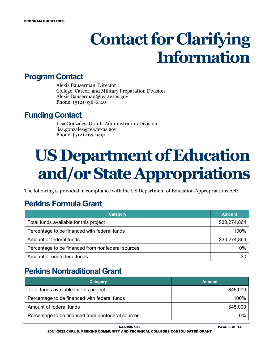## **Contact for Clarifying Information**

### <span id="page-5-1"></span><span id="page-5-0"></span>**Program Contact**

Alexis Bauserman, Director College, Career, and Military Preparation Division Alexis.Bauserman@tea.texas.gov Phone: (512) 936-6410

## <span id="page-5-2"></span>**Funding Contact**

Lisa Gonzales, Grants Administration Division lisa.gonzales@tea.texas.gov Phone: (512) 463-9491

## <span id="page-5-3"></span>**US Department of Education and/or State Appropriations**

The following is provided in compliance with the US Department of Education Appropriations Act:

## <span id="page-5-4"></span>**Perkins Formula Grant**

| <b>Category</b>                                   | <b>Amount</b> |
|---------------------------------------------------|---------------|
| Total funds available for this project            | \$30,274,864  |
| Percentage to be financed with federal funds      | 100%          |
| Amount of federal funds                           | \$30,274,864  |
| Percentage to be financed from nonfederal sources | 0%            |
| Amount of nonfederal funds                        | \$0           |

## <span id="page-5-5"></span>**Perkins Nontraditional Grant**

| Category                                          | <b>Amount</b> |
|---------------------------------------------------|---------------|
| Total funds available for this project            | \$45,000      |
| Percentage to be financed with federal funds      | 100%          |
| Amount of federal funds                           | \$45,000      |
| Percentage to be financed from nonfederal sources | 0%            |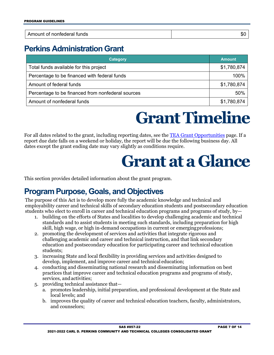| ----<br>.<br>funds<br>: nonteder<br>- -<br>я<br>71<br>,,, | $\sim$<br>ФU |
|-----------------------------------------------------------|--------------|

## <span id="page-6-0"></span>**Perkins Administration Grant**

| Category                                          | <b>Amount</b> |
|---------------------------------------------------|---------------|
| Total funds available for this project            | \$1,780,874   |
| Percentage to be financed with federal funds      | 100%          |
| Amount of federal funds                           | \$1,780,874   |
| Percentage to be financed from nonfederal sources | 50%           |
| Amount of nonfederal funds                        | \$1,780,874   |

## **Grant Timeline**

<span id="page-6-2"></span><span id="page-6-1"></span>For all dates related to the grant, including reporting dates, see the [TEA Grant Opportunities](https://tea4avalonzo.tea.state.tx.us/GrantOpportunities/forms/GrantProgramSearch.aspx) page. If a report due date falls on a weekend or holiday, the report will be due the following business day. All dates except the grant ending date may vary slightly as conditions require.

## **Grant at a Glance**

This section provides detailed information about the grant program.

## <span id="page-6-3"></span>**Program Purpose, Goals, and Objectives**

The purpose of this Act is to develop more fully the academic knowledge and technical and employability career and technical skills of secondary education students and postsecondary education students who elect to enroll in career and technical education programs and programs of study, by—

- 1. building on the efforts of States and localities to develop challenging academic and technical standards and to assist students in meeting such standards, including preparation for high skill, high wage, or high in-demand occupations in current or emergingprofessions;
- 2. promoting the development of services and activities that integrate rigorous and challenging academic and career and technical instruction, and that link secondary education and postsecondary education for participating career and technical education students;
- 3. increasing State and local flexibility in providing services and activities designed to develop, implement, and improve career and technical education;
- 4. conducting and disseminating national research and disseminating information on best practices that improve career and technical education programs and programs of study, services, andactivities;
- 5. providing technical assistance that
	- a. promotes leadership, initial preparation, and professional development at the State and local levels; and
	- b. improves the quality of career and technical education teachers, faculty, administrators, and counselors;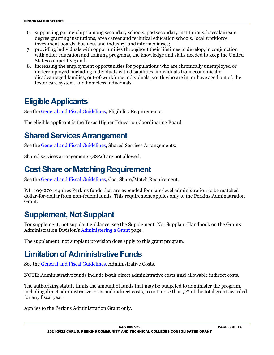- 6. supporting partnerships among secondary schools, postsecondary institutions, baccalaureate degree granting institutions, area career and technical education schools, local workforce investment boards, business and industry, and intermediaries;
- 7. providing individuals with opportunities throughout their lifetimes to develop, in conjunction with other education and training programs, the knowledge and skills needed to keep the United States competitive; and
- 8. increasing the employment opportunities for populations who are chronically unemployed or underemployed, including individuals with disabilities, individuals from economically disadvantaged families, out-of-workforce individuals, youth who are in, or have aged out of,the foster care system, and homeless individuals.

## <span id="page-7-0"></span>**Eligible Applicants**

See the [General and Fiscal Guidelines,](http://tea.texas.gov/WorkArea/linkit.aspx?LinkIdentifier=id&ItemID=25769819073) Eligibility Requirements.

The eligible applicant is the Texas Higher Education Coordinating Board.

## <span id="page-7-1"></span>**Shared Services Arrangement**

See the [General and Fiscal Guidelines,](http://tea.texas.gov/WorkArea/linkit.aspx?LinkIdentifier=id&ItemID=25769819073) Shared Services Arrangements.

Shared services arrangements (SSAs) are not allowed.

## <span id="page-7-2"></span>**Cost Share or Matching Requirement**

See the [General and Fiscal Guidelines,](http://tea.texas.gov/WorkArea/linkit.aspx?LinkIdentifier=id&ItemID=25769819073) Cost Share/Match Requirement.

P.L. 109-270 requires Perkins funds that are expended for state-level administration to be matched dollar-for-dollar from non-federal funds. This requirement applies only to the Perkins Administration Grant.

## <span id="page-7-3"></span>**Supplement, Not Supplant**

For supplement, not supplant guidance, see the Supplement, Not Supplant Handbook on the Grants Administration Division's [Administering a Grant](http://tea.texas.gov/Finance_and_Grants/Administering_a_Grant.aspx) page.

The supplement, not supplant provision does apply to this grant program.

## <span id="page-7-4"></span>**Limitation of Administrative Funds**

See the [General and Fiscal Guidelines,](http://tea.texas.gov/WorkArea/linkit.aspx?LinkIdentifier=id&ItemID=25769819073) Administrative Costs.

NOTE: Administrative funds include **both** direct administrative costs **and** allowable indirect costs.

The authorizing statute limits the amount of funds that may be budgeted to administer the program, including direct administrative costs and indirect costs, to not more than 5% of the total grant awarded for any fiscal year.

Applies to the Perkins Administration Grant only.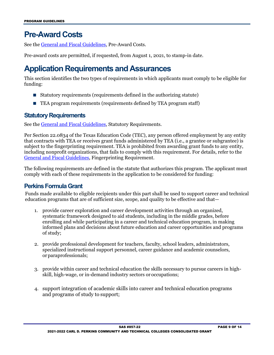## <span id="page-8-0"></span>**Pre-Award Costs**

See the [General and Fiscal Guidelines,](http://tea.texas.gov/WorkArea/linkit.aspx?LinkIdentifier=id&ItemID=25769819073) Pre-Award Costs.

Pre-award costs are permitted, if requested, from August 1, 2021, to stamp-in date.

## <span id="page-8-1"></span>**Application Requirements and Assurances**

This section identifies the two types of requirements in which applicants must comply to be eligible for funding:

- Statutory requirements (requirements defined in the authorizing statute)
- TEA program requirements (requirements defined by TEA program staff)

#### <span id="page-8-2"></span>**Statutory Requirements**

See th[e General and Fiscal Guidelines,](http://tea.texas.gov/WorkArea/linkit.aspx?LinkIdentifier=id&ItemID=25769819073) Statutory Requirements.

Per Section 22.0834 of the Texas Education Code (TEC), any person offered employment by any entity that contracts with TEA or receives grant funds administered by TEA (i.e., a grantee or subgrantee) is subject to the fingerprinting requirement. TEA is prohibited from awarding grant funds to any entity, including nonprofit organizations, that fails to comply with this requirement. For details, refer to the [General and Fiscal Guidelines,](http://tea.texas.gov/WorkArea/linkit.aspx?LinkIdentifier=id&ItemID=25769819073) Fingerprinting Requirement.

The following requirements are defined in the statute that authorizes this program. The applicant must comply with each of these requirements in the application to be considered for funding:

#### <span id="page-8-3"></span>**Perkins Formula Grant**

Funds made available to eligible recipients under this part shall be used to support career and technical education programs that are of sufficient size, scope, and quality to be effective and that—

- 1. provide career exploration and career development activities through an organized, systematic framework designed to aid students, including in the middle grades, before enrolling and while participating in a career and technical education program, in making informed plans and decisions about future education and career opportunities and programs of study;
- 2. provide professional development for teachers, faculty, school leaders, administrators, specialized instructional support personnel, career guidance and academic counselors, orparaprofessionals;
- 3. provide within career and technical education the skills necessary to pursue careers in highskill, high-wage, or in-demand industry sectors or occupations;
- 4. support integration of academic skills into career and technical education programs and programs of study to support;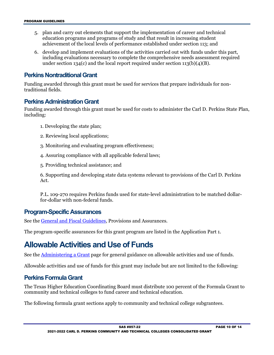- 5. plan and carry out elements that support the implementation of career and technical education programs and programs of study and that result in increasing student achievement of the local levels of performance established under section 113; and
- 6. develop and implement evaluations of the activities carried out with funds under this part, including evaluations necessary to complete the comprehensive needs assessment required under section 134(c) and the local report required under section 113(b)(4)(B).

#### <span id="page-9-0"></span>**Perkins Nontraditional Grant**

Funding awarded through this grant must be used for services that prepare individuals for nontraditional fields.

#### <span id="page-9-1"></span>**Perkins Administration Grant**

Funding awarded through this grant must be used for costs to administer the Carl D. Perkins State Plan, including:

- 1. Developing the state plan;
- 2. Reviewing local applications;
- 3. Monitoring and evaluating program effectiveness;
- 4. Assuring compliance with all applicable federal laws;
- 5. Providing technical assistance; and

6. Supporting and developing state data systems relevant to provisions of the Carl D. Perkins Act.

P.L. 109-270 requires Perkins funds used for state-level administration to be matched dollarfor-dollar with non-federal funds.

#### <span id="page-9-2"></span>**Program-Specific Assurances**

See th[e General and Fiscal Guidelines,](http://tea.texas.gov/WorkArea/linkit.aspx?LinkIdentifier=id&ItemID=25769819073) Provisions and Assurances.

The program-specific assurances for this grant program are listed in the Application Part 1.

### <span id="page-9-3"></span>**Allowable Activities and Use of Funds**

See the [Administering a Grant](http://www.tea.texas.gov/WorkArea/linkit.aspx?LinkIdentifier=id&ItemID=25769814700) page for general guidance on allowable activities and use of funds.

Allowable activities and use of funds for this grant may include but are not limited to the following:

#### <span id="page-9-4"></span>**Perkins Formula Grant**

The Texas Higher Education Coordinating Board must distribute 100 percent of the Formula Grant to community and technical colleges to fund career and technical education.

The following formula grant sections apply to community and technical college subgrantees.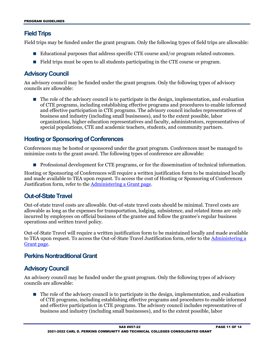#### <span id="page-10-0"></span>**Field Trips**

Field trips may be funded under the grant program. Only the following types of field trips are allowable:

- Educational purposes that address specific CTE course and/or program related outcomes.
- Field trips must be open to all students participating in the CTE course or program.

#### <span id="page-10-1"></span>**Advisory Council**

An advisory council may be funded under the grant program. Only the following types of advisory councils are allowable:

 $\blacksquare$  The role of the advisory council is to participate in the design, implementation, and evaluation of CTE programs, including establishing effective programs and procedures to enable informed and effective participation in CTE programs. The advisory council includes representatives of business and industry (including small businesses), and to the extent possible, labor organizations, higher education representatives and faculty, administrators, representatives of special populations, CTE and academic teachers, students, and community partners.

#### <span id="page-10-2"></span>**Hosting or Sponsoring of Conferences**

Conferences may be hosted or sponsored under the grant program. Conferences must be managed to minimize costs to the grant award. The following types of conference are allowable:

**Professional development for CTE programs, or for the dissemination of technical information.** 

Hosting or Sponsoring of Conferences will require a written justification form to be maintained locally and made available to TEA upon request. To access the cost of Hosting or Sponsoring of Conferences Justification form, refer to the [Administering a Grant page.](http://tea.texas.gov/Finance_and_Grants/Administering_a_Grant.aspx)

#### <span id="page-10-3"></span>**Out-of-State Travel**

Out-of-state travel costs are allowable. Out-of-state travel costs should be minimal. Travel costs are allowable as long as the expenses for transportation, lodging, subsistence, and related items are only incurred by employees on official business of the grantee and follow the grantee's regular business operations and written travel policy.

Out-of-State Travel will require a written justification form to be maintained locally and made available to TEA upon request. To access the Out-of-State Travel Justification form, refer to the [Administering a](http://tea.texas.gov/Finance_and_Grants/Administering_a_Grant.aspx)  [Grant page.](http://tea.texas.gov/Finance_and_Grants/Administering_a_Grant.aspx)

#### <span id="page-10-4"></span>**Perkins Nontraditional Grant**

#### <span id="page-10-5"></span>**Advisory Council**

An advisory council may be funded under the grant program. Only the following types of advisory councils are allowable:

 $\blacksquare$  The role of the advisory council is to participate in the design, implementation, and evaluation of CTE programs, including establishing effective programs and procedures to enable informed and effective participation in CTE programs. The advisory council includes representatives of business and industry (including small businesses), and to the extent possible, labor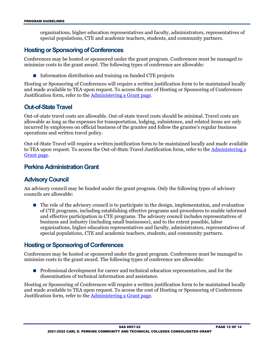organizations, higher education representatives and faculty, administrators, representatives of special populations, CTE and academic teachers, students, and community partners.

#### <span id="page-11-0"></span>**Hosting or Sponsoring of Conferences**

Conferences may be hosted or sponsored under the grant program. Conferences must be managed to minimize costs to the grant award. The following types of conference are allowable:

 $\blacksquare$  Information distribution and training on funded CTE projects

Hosting or Sponsoring of Conferences will require a written justification form to be maintained locally and made available to TEA upon request. To access the cost of Hosting or Sponsoring of Conferences Justification form, refer to the [Administering a Grant page.](http://tea.texas.gov/Finance_and_Grants/Administering_a_Grant.aspx)

#### <span id="page-11-1"></span>**Out-of-State Travel**

Out-of-state travel costs are allowable. Out-of-state travel costs should be minimal. Travel costs are allowable as long as the expenses for transportation, lodging, subsistence, and related items are only incurred by employees on official business of the grantee and follow the grantee's regular business operations and written travel policy.

Out-of-State Travel will require a written justification form to be maintained locally and made available to TEA upon request. To access the Out-of-State Travel Justification form, refer to the [Administering a](http://tea.texas.gov/Finance_and_Grants/Administering_a_Grant.aspx)  [Grant page.](http://tea.texas.gov/Finance_and_Grants/Administering_a_Grant.aspx)

#### <span id="page-11-2"></span>**Perkins Administration Grant**

#### <span id="page-11-3"></span>**Advisory Council**

An advisory council may be funded under the grant program. Only the following types of advisory councils are allowable:

 $\blacksquare$  The role of the advisory council is to participate in the design, implementation, and evaluation of CTE programs, including establishing effective programs and procedures to enable informed and effective participation in CTE programs. The advisory council includes representatives of business and industry (including small businesses), and to the extent possible, labor organizations, higher education representatives and faculty, administrators, representatives of special populations, CTE and academic teachers, students, and community partners.

#### <span id="page-11-4"></span>**Hosting or Sponsoring of Conferences**

Conferences may be hosted or sponsored under the grant program. Conferences must be managed to minimize costs to the grant award. The following types of conference are allowable:

**Professional development for career and technical education representatives, and for the** dissemination of technical information and assistance.

Hosting or Sponsoring of Conferences will require a written justification form to be maintained locally and made available to TEA upon request. To access the cost of Hosting or Sponsoring of Conferences Justification form, refer to the [Administering a Grant page.](http://tea.texas.gov/Finance_and_Grants/Administering_a_Grant.aspx)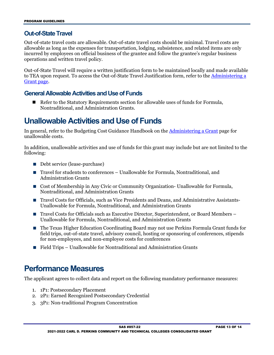#### <span id="page-12-0"></span>**Out-of-State Travel**

Out-of-state travel costs are allowable. Out-of-state travel costs should be minimal. Travel costs are allowable as long as the expenses for transportation, lodging, subsistence, and related items are only incurred by employees on official business of the grantee and follow the grantee's regular business operations and written travel policy.

Out-of-State Travel will require a written justification form to be maintained locally and made available to TEA upon request. To access the Out-of-State Travel Justification form, refer to the Administering a [Grant page.](http://tea.texas.gov/Finance_and_Grants/Administering_a_Grant.aspx)

#### <span id="page-12-1"></span>**General Allowable Activities and Use of Funds**

■ Refer to the Statutory Requirements section for allowable uses of funds for Formula, Nontraditional, and Administration Grants.

### <span id="page-12-2"></span>**Unallowable Activities and Use of Funds**

In general, refer to the Budgeting Cost Guidance Handbook on the [Administering a Grant](http://www.tea.texas.gov/WorkArea/linkit.aspx?LinkIdentifier=id&ItemID=25769814700) page for unallowable costs.

In addition, unallowable activities and use of funds for this grant may include but are not limited to the following:

- Debt service (lease-purchase)
- Travel for students to conferences Unallowable for Formula, Nontraditional, and Administration Grants
- Cost of Membership in Any Civic or Community Organization- Unallowable for Formula, Nontraditional, and Administration Grants
- Travel Costs for Officials, such as Vice Presidents and Deans, and Administrative Assistants-Unallowable for Formula, Nontraditional, and Administration Grants
- Travel Costs for Officials such as Executive Director, Superintendent, or Board Members Unallowable for Formula, Nontraditional, and Administration Grants
- The Texas Higher Education Coordinating Board may not use Perkins Formula Grant funds for field trips, out-of-state travel, advisory council, hosting or sponsoring of conferences, stipends for non-employees, and non-employee costs for conferences
- Field Trips Unallowable for Nontraditional and Administration Grants

### <span id="page-12-3"></span>**Performance Measures**

The applicant agrees to collect data and report on the following mandatory performance measures:

- 1. 1P1: Postsecondary Placement
- 2. 2P1: Earned Recognized Postsecondary Credential
- 3. 3P1: Non-traditional Program Concentration